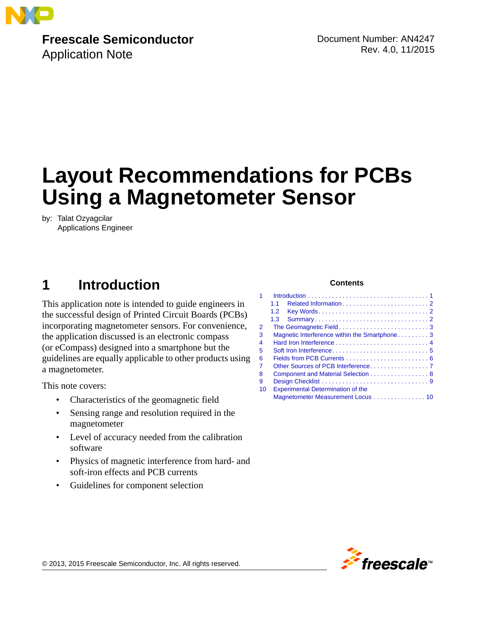

**Freescale Semiconductor** Application Note

Document Number: AN4247 Rev. 4.0, 11/2015

# **Layout Recommendations for PCBs Using a Magnetometer Sensor**

by: Talat Ozyagcilar Applications Engineer

### <span id="page-0-0"></span>**1** Introduction **Contents**

This application note is intended to guide engineers in the successful design of Printed Circuit Boards (PCBs) incorporating magnetometer sensors. For convenience, the application discussed is an electronic compass (or eCompass) designed into a smartphone but the guidelines are equally applicable to other products using a magnetometer.

This note covers:

- Characteristics of the geomagnetic field
- Sensing range and resolution required in the magnetometer
- Level of accuracy needed from the calibration software
- Physics of magnetic interference from hard- and soft-iron effects and PCB currents
- Guidelines for component selection

| 1              |                                              |
|----------------|----------------------------------------------|
|                | 11                                           |
|                | 1.2 <sub>2</sub>                             |
|                | 1.3                                          |
| $\overline{2}$ |                                              |
| 3              | Magnetic Interference within the Smartphone3 |
| 4              |                                              |
| 5              |                                              |
| 6              |                                              |
| 7              |                                              |
| 8              | Component and Material Selection 8           |
| 9              |                                              |
| 10             | <b>Experimental Determination of the</b>     |
|                | Magnetometer Measurement Locus 10            |

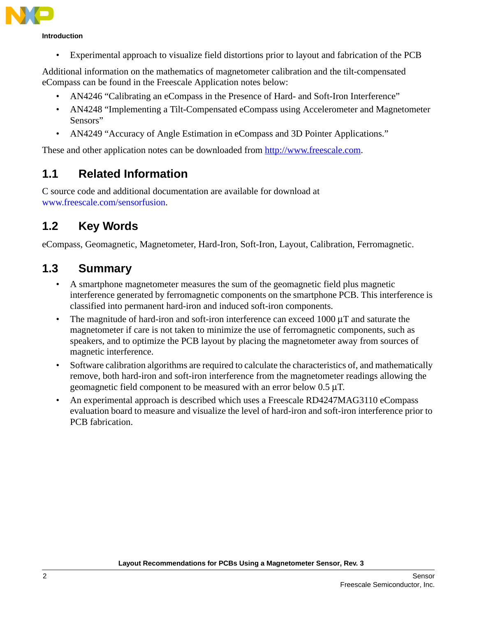

#### **Introduction**

• Experimental approach to visualize field distortions prior to layout and fabrication of the PCB

Additional information on the mathematics of magnetometer calibration and the tilt-compensated eCompass can be found in the Freescale Application notes below:

- AN4246 "Calibrating an eCompass in the Presence of Hard- and Soft-Iron Interference"
- AN4248 "Implementing a Tilt-Compensated eCompass using Accelerometer and Magnetometer Sensors"
- AN4249 "Accuracy of Angle Estimation in eCompass and 3D Pointer Applications."

These and other application notes can be downloaded from<http://www.freescale.com>.

#### <span id="page-1-0"></span>**1.1 Related Information**

[C source code and additional documentation are available for download at](http://www.freescale.com/products/sensors/freescale-sensor-fusion:XTRSICSNSTLBOX?tid=vansensorfusion)  www.freescale.com/sensorfusion.

#### <span id="page-1-1"></span>**1.2 Key Words**

eCompass, Geomagnetic, Magnetometer, Hard-Iron, Soft-Iron, Layout, Calibration, Ferromagnetic.

#### <span id="page-1-2"></span>**1.3 Summary**

- A smartphone magnetometer measures the sum of the geomagnetic field plus magnetic interference generated by ferromagnetic components on the smartphone PCB. This interference is classified into permanent hard-iron and induced soft-iron components.
- The magnitude of hard-iron and soft-iron interference can exceed 1000  $\mu$ T and saturate the magnetometer if care is not taken to minimize the use of ferromagnetic components, such as speakers, and to optimize the PCB layout by placing the magnetometer away from sources of magnetic interference.
- Software calibration algorithms are required to calculate the characteristics of, and mathematically remove, both hard-iron and soft-iron interference from the magnetometer readings allowing the geomagnetic field component to be measured with an error below 0.5 μT.
- An experimental approach is described which uses a Freescale RD4247MAG3110 eCompass evaluation board to measure and visualize the level of hard-iron and soft-iron interference prior to PCB fabrication.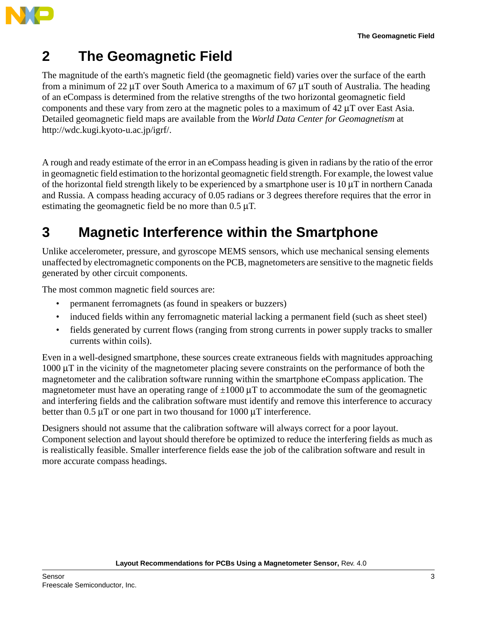

# <span id="page-2-0"></span>**2 The Geomagnetic Field**

The magnitude of the earth's magnetic field (the geomagnetic field) varies over the surface of the earth from a minimum of 22 μT over South America to a maximum of 67 μT south of Australia. The heading of an eCompass is determined from the relative strengths of the two horizontal geomagnetic field components and these vary from zero at the magnetic poles to a maximum of 42 μT over East Asia. Detailed geomagnetic field maps are available from the *World Data Center for Geomagnetism* [at](http://wdc.kugi.kyoto-u.ac.jp/igrf/)  [http://wdc.kugi.kyoto-u.ac.jp/igrf/.](http://wdc.kugi.kyoto-u.ac.jp/igrf/)

A rough and ready estimate of the error in an eCompass heading is given in radians by the ratio of the error in geomagnetic field estimation to the horizontal geomagnetic field strength. For example, the lowest value of the horizontal field strength likely to be experienced by a smartphone user is 10 μT in northern Canada and Russia. A compass heading accuracy of 0.05 radians or 3 degrees therefore requires that the error in estimating the geomagnetic field be no more than 0.5 μT.

#### <span id="page-2-1"></span>**3 Magnetic Interference within the Smartphone**

Unlike accelerometer, pressure, and gyroscope MEMS sensors, which use mechanical sensing elements unaffected by electromagnetic components on the PCB, magnetometers are sensitive to the magnetic fields generated by other circuit components.

The most common magnetic field sources are:

- permanent ferromagnets (as found in speakers or buzzers)
- induced fields within any ferromagnetic material lacking a permanent field (such as sheet steel)
- fields generated by current flows (ranging from strong currents in power supply tracks to smaller currents within coils).

Even in a well-designed smartphone, these sources create extraneous fields with magnitudes approaching 1000 μT in the vicinity of the magnetometer placing severe constraints on the performance of both the magnetometer and the calibration software running within the smartphone eCompass application. The magnetometer must have an operating range of  $\pm 1000 \mu T$  to accommodate the sum of the geomagnetic and interfering fields and the calibration software must identify and remove this interference to accuracy better than  $0.5 \mu T$  or one part in two thousand for 1000  $\mu T$  interference.

Designers should not assume that the calibration software will always correct for a poor layout. Component selection and layout should therefore be optimized to reduce the interfering fields as much as is realistically feasible. Smaller interference fields ease the job of the calibration software and result in more accurate compass headings.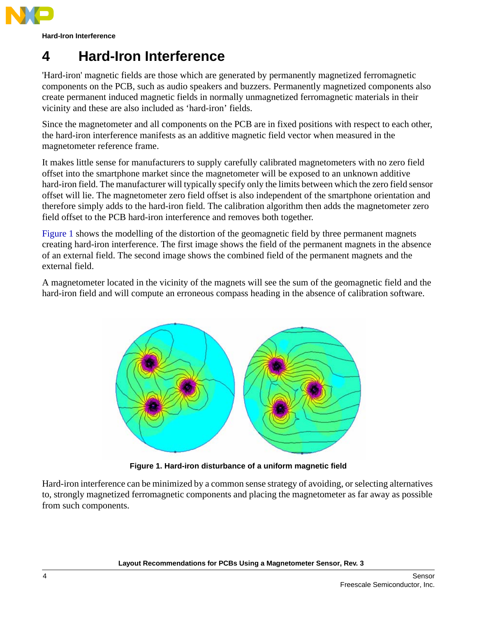

**Hard-Iron Interference**

## <span id="page-3-0"></span>**4 Hard-Iron Interference**

'Hard-iron' magnetic fields are those which are generated by permanently magnetized ferromagnetic components on the PCB, such as audio speakers and buzzers. Permanently magnetized components also create permanent induced magnetic fields in normally unmagnetized ferromagnetic materials in their vicinity and these are also included as 'hard-iron' fields.

Since the magnetometer and all components on the PCB are in fixed positions with respect to each other, the hard-iron interference manifests as an additive magnetic field vector when measured in the magnetometer reference frame.

It makes little sense for manufacturers to supply carefully calibrated magnetometers with no zero field offset into the smartphone market since the magnetometer will be exposed to an unknown additive hard-iron field. The manufacturer will typically specify only the limits between which the zero field sensor offset will lie. The magnetometer zero field offset is also independent of the smartphone orientation and therefore simply adds to the hard-iron field. The calibration algorithm then adds the magnetometer zero field offset to the PCB hard-iron interference and removes both together.

[Figure 1](#page-3-1) shows the modelling of the distortion of the geomagnetic field by three permanent magnets creating hard-iron interference. The first image shows the field of the permanent magnets in the absence of an external field. The second image shows the combined field of the permanent magnets and the external field.

A magnetometer located in the vicinity of the magnets will see the sum of the geomagnetic field and the hard-iron field and will compute an erroneous compass heading in the absence of calibration software.



**Figure 1. Hard-iron disturbance of a uniform magnetic field**

<span id="page-3-1"></span>Hard-iron interference can be minimized by a common sense strategy of avoiding, or selecting alternatives to, strongly magnetized ferromagnetic components and placing the magnetometer as far away as possible from such components.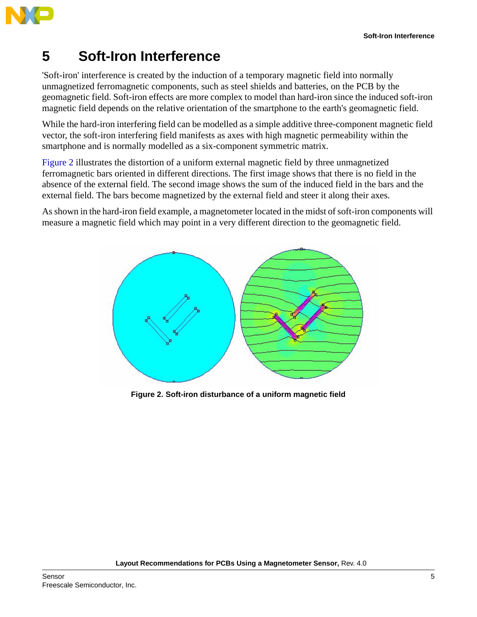

## <span id="page-4-0"></span>**5 Soft-Iron Interference**

'Soft-iron' interference is created by the induction of a temporary magnetic field into normally unmagnetized ferromagnetic components, such as steel shields and batteries, on the PCB by the geomagnetic field. Soft-iron effects are more complex to model than hard-iron since the induced soft-iron magnetic field depends on the relative orientation of the smartphone to the earth's geomagnetic field.

While the hard-iron interfering field can be modelled as a simple additive three-component magnetic field vector, the soft-iron interfering field manifests as axes with high magnetic permeability within the smartphone and is normally modelled as a six-component symmetric matrix.

[Figure 2](#page-4-1) illustrates the distortion of a uniform external magnetic field by three unmagnetized ferromagnetic bars oriented in different directions. The first image shows that there is no field in the absence of the external field. The second image shows the sum of the induced field in the bars and the external field. The bars become magnetized by the external field and steer it along their axes.

As shown in the hard-iron field example, a magnetometer located in the midst of soft-iron components will measure a magnetic field which may point in a very different direction to the geomagnetic field.



<span id="page-4-1"></span>**Figure 2. Soft-iron disturbance of a uniform magnetic field**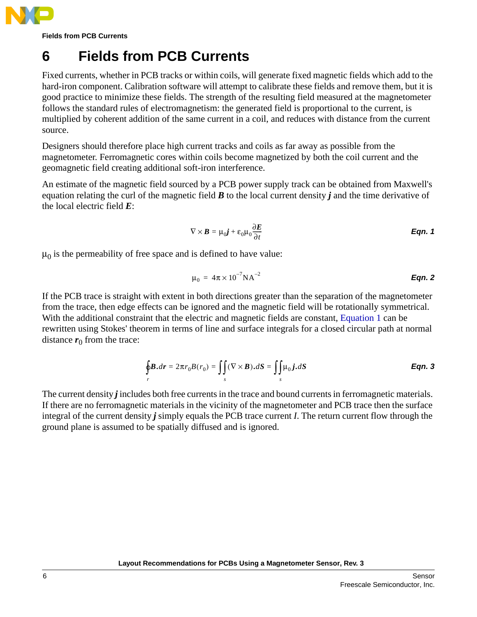

**Fields from PCB Currents**

## <span id="page-5-0"></span>**6 Fields from PCB Currents**

Fixed currents, whether in PCB tracks or within coils, will generate fixed magnetic fields which add to the hard-iron component. Calibration software will attempt to calibrate these fields and remove them, but it is good practice to minimize these fields. The strength of the resulting field measured at the magnetometer follows the standard rules of electromagnetism: the generated field is proportional to the current, is multiplied by coherent addition of the same current in a coil, and reduces with distance from the current source.

Designers should therefore place high current tracks and coils as far away as possible from the magnetometer. Ferromagnetic cores within coils become magnetized by both the coil current and the geomagnetic field creating additional soft-iron interference.

<span id="page-5-1"></span>An estimate of the magnetic field sourced by a PCB power supply track can be obtained from Maxwell's equation relating the curl of the magnetic field *B* to the local current density *j* and the time derivative of the local electric field *E*:

$$
\nabla \times \boldsymbol{B} = \mu_0 \boldsymbol{j} + \varepsilon_0 \mu_0 \frac{\partial \boldsymbol{E}}{\partial t}
$$
 \t\t**Eqn. 1**

 $\mu_0$  is the permeability of free space and is defined to have value:

$$
\mu_0 = 4\pi \times 10^{-7} \text{NA}^{-2}
$$
 **Eqn. 2**

If the PCB trace is straight with extent in both directions greater than the separation of the magnetometer from the trace, then edge effects can be ignored and the magnetic field will be rotationally symmetrical. With the additional constraint that the electric and magnetic fields are constant, [Equation 1](#page-5-1) can be rewritten using Stokes' theorem in terms of line and surface integrals for a closed circular path at normal distance  $r_0$  from the trace:

$$
\oint_{r} \mathbf{B}.dr = 2\pi r_{0}B(r_{0}) = \iint_{s} (\nabla \times \mathbf{B}).dS = \iint_{s} \mu_{0} \mathbf{j}.dS
$$
\nEqn. 3

<span id="page-5-2"></span>The current density *j* includes both free currents in the trace and bound currents in ferromagnetic materials. If there are no ferromagnetic materials in the vicinity of the magnetometer and PCB trace then the surface integral of the current density *j* simply equals the PCB trace current *I*. The return current flow through the ground plane is assumed to be spatially diffused and is ignored.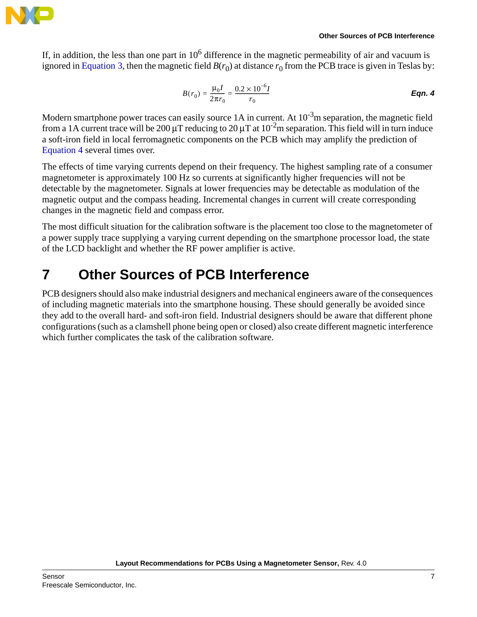

<span id="page-6-1"></span>If, in addition, the less than one part in  $10<sup>6</sup>$  difference in the magnetic permeability of air and vacuum is ignored in [Equation 3](#page-5-2), then the magnetic field  $B(r_0)$  at distance  $r_0$  from the PCB trace is given in Teslas by:

$$
B(r_0) = \frac{\mu_0 I}{2\pi r_0} = \frac{0.2 \times 10^{-6} I}{r_0}
$$
Eqn. 4

Modern smartphone power traces can easily source 1A in current. At  $10^{-3}$ m separation, the magnetic field from a 1A current trace will be 200  $\mu$ T reducing to 20  $\mu$ T at 10<sup>-2</sup>m separation. This field will in turn induce a soft-iron field in local ferromagnetic components on the PCB which may amplify the prediction of [Equation 4](#page-6-1) several times over.

The effects of time varying currents depend on their frequency. The highest sampling rate of a consumer magnetometer is approximately 100 Hz so currents at significantly higher frequencies will not be detectable by the magnetometer. Signals at lower frequencies may be detectable as modulation of the magnetic output and the compass heading. Incremental changes in current will create corresponding changes in the magnetic field and compass error.

The most difficult situation for the calibration software is the placement too close to the magnetometer of a power supply trace supplying a varying current depending on the smartphone processor load, the state of the LCD backlight and whether the RF power amplifier is active.

## <span id="page-6-0"></span>**7 Other Sources of PCB Interference**

PCB designers should also make industrial designers and mechanical engineers aware of the consequences of including magnetic materials into the smartphone housing. These should generally be avoided since they add to the overall hard- and soft-iron field. Industrial designers should be aware that different phone configurations (such as a clamshell phone being open or closed) also create different magnetic interference which further complicates the task of the calibration software.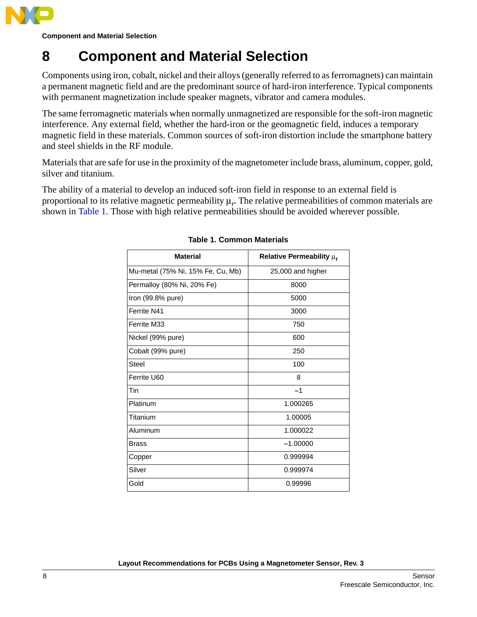

**Component and Material Selection**

### <span id="page-7-0"></span>**8 Component and Material Selection**

Components using iron, cobalt, nickel and their alloys (generally referred to as ferromagnets) can maintain a permanent magnetic field and are the predominant source of hard-iron interference. Typical components with permanent magnetization include speaker magnets, vibrator and camera modules.

The same ferromagnetic materials when normally unmagnetized are responsible for the soft-iron magnetic interference. Any external field, whether the hard-iron or the geomagnetic field, induces a temporary magnetic field in these materials. Common sources of soft-iron distortion include the smartphone battery and steel shields in the RF module.

Materials that are safe for use in the proximity of the magnetometer include brass, aluminum, copper, gold, silver and titanium.

<span id="page-7-1"></span>The ability of a material to develop an induced soft-iron field in response to an external field is proportional to its relative magnetic permeability μ*r*. The relative permeabilities of common materials are shown in [Table 1](#page-7-1). Those with high relative permeabilities should be avoided wherever possible.

| <b>Material</b>                   | Relative Permeability $\mu_r$ |
|-----------------------------------|-------------------------------|
| Mu-metal (75% Ni, 15% Fe, Cu, Mb) | 25,000 and higher             |
| Permalloy (80% Ni, 20% Fe)        | 8000                          |
| Iron $(99.8%$ pure)               | 5000                          |
| Ferrite N41                       | 3000                          |
| Ferrite M33                       | 750                           |
| Nickel (99% pure)                 | 600                           |
| Cobalt (99% pure)                 | 250                           |
| Steel                             | 100                           |
| Ferrite U60                       | 8                             |
| Tin                               | $\approx$ 1                   |
| Platinum                          | 1.000265                      |
| Titanium                          | 1.00005                       |
| Aluminum                          | 1.000022                      |
| <b>Brass</b>                      | $\approx$ 1.00000             |
| Copper                            | 0.999994                      |
| Silver                            | 0.999974                      |
| Gold                              | 0.99996                       |

#### **Table 1. Common Materials**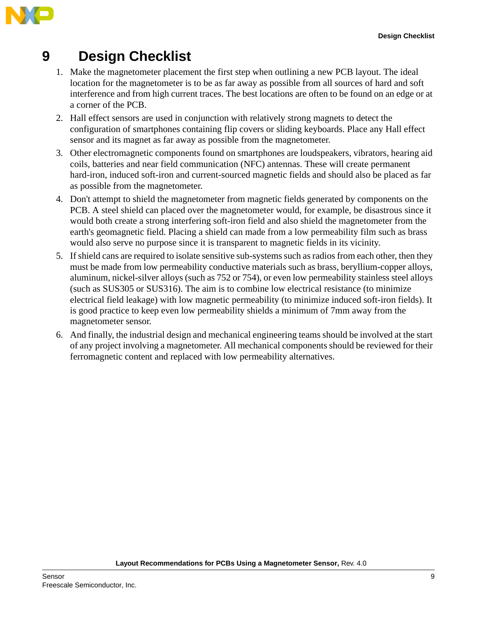

# <span id="page-8-0"></span>**9 Design Checklist**

- 1. Make the magnetometer placement the first step when outlining a new PCB layout. The ideal location for the magnetometer is to be as far away as possible from all sources of hard and soft interference and from high current traces. The best locations are often to be found on an edge or at a corner of the PCB.
- 2. Hall effect sensors are used in conjunction with relatively strong magnets to detect the configuration of smartphones containing flip covers or sliding keyboards. Place any Hall effect sensor and its magnet as far away as possible from the magnetometer.
- 3. Other electromagnetic components found on smartphones are loudspeakers, vibrators, hearing aid coils, batteries and near field communication (NFC) antennas. These will create permanent hard-iron, induced soft-iron and current-sourced magnetic fields and should also be placed as far as possible from the magnetometer.
- 4. Don't attempt to shield the magnetometer from magnetic fields generated by components on the PCB. A steel shield can placed over the magnetometer would, for example, be disastrous since it would both create a strong interfering soft-iron field and also shield the magnetometer from the earth's geomagnetic field. Placing a shield can made from a low permeability film such as brass would also serve no purpose since it is transparent to magnetic fields in its vicinity.
- 5. If shield cans are required to isolate sensitive sub-systems such as radios from each other, then they must be made from low permeability conductive materials such as brass, beryllium-copper alloys, aluminum, nickel-silver alloys (such as 752 or 754), or even low permeability stainless steel alloys (such as SUS305 or SUS316). The aim is to combine low electrical resistance (to minimize electrical field leakage) with low magnetic permeability (to minimize induced soft-iron fields). It is good practice to keep even low permeability shields a minimum of 7mm away from the magnetometer sensor.
- 6. And finally, the industrial design and mechanical engineering teams should be involved at the start of any project involving a magnetometer. All mechanical components should be reviewed for their ferromagnetic content and replaced with low permeability alternatives.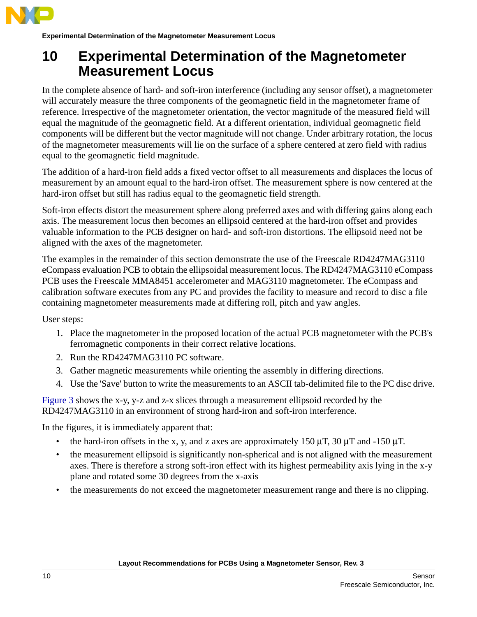

**Experimental Determination of the Magnetometer Measurement Locus**

#### <span id="page-9-0"></span>**10 Experimental Determination of the Magnetometer Measurement Locus**

In the complete absence of hard- and soft-iron interference (including any sensor offset), a magnetometer will accurately measure the three components of the geomagnetic field in the magnetometer frame of reference. Irrespective of the magnetometer orientation, the vector magnitude of the measured field will equal the magnitude of the geomagnetic field. At a different orientation, individual geomagnetic field components will be different but the vector magnitude will not change. Under arbitrary rotation, the locus of the magnetometer measurements will lie on the surface of a sphere centered at zero field with radius equal to the geomagnetic field magnitude.

The addition of a hard-iron field adds a fixed vector offset to all measurements and displaces the locus of measurement by an amount equal to the hard-iron offset. The measurement sphere is now centered at the hard-iron offset but still has radius equal to the geomagnetic field strength.

Soft-iron effects distort the measurement sphere along preferred axes and with differing gains along each axis. The measurement locus then becomes an ellipsoid centered at the hard-iron offset and provides valuable information to the PCB designer on hard- and soft-iron distortions. The ellipsoid need not be aligned with the axes of the magnetometer.

The examples in the remainder of this section demonstrate the use of the Freescale RD4247MAG3110 eCompass evaluation PCB to obtain the ellipsoidal measurement locus. The RD4247MAG3110 eCompass PCB uses the Freescale MMA8451 accelerometer and MAG3110 magnetometer. The eCompass and calibration software executes from any PC and provides the facility to measure and record to disc a file containing magnetometer measurements made at differing roll, pitch and yaw angles.

User steps:

- 1. Place the magnetometer in the proposed location of the actual PCB magnetometer with the PCB's ferromagnetic components in their correct relative locations.
- 2. Run the RD4247MAG3110 PC software.
- 3. Gather magnetic measurements while orienting the assembly in differing directions.
- 4. Use the 'Save' button to write the measurements to an ASCII tab-delimited file to the PC disc drive.

[Figure 3](#page-10-0) shows the x-y, y-z and z-x slices through a measurement ellipsoid recorded by the RD4247MAG3110 in an environment of strong hard-iron and soft-iron interference.

In the figures, it is immediately apparent that:

- the hard-iron offsets in the x, y, and z axes are approximately 150  $\mu$ T, 30  $\mu$ T and -150  $\mu$ T.
- the measurement ellipsoid is significantly non-spherical and is not aligned with the measurement axes. There is therefore a strong soft-iron effect with its highest permeability axis lying in the x-y plane and rotated some 30 degrees from the x-axis
- the measurements do not exceed the magnetometer measurement range and there is no clipping.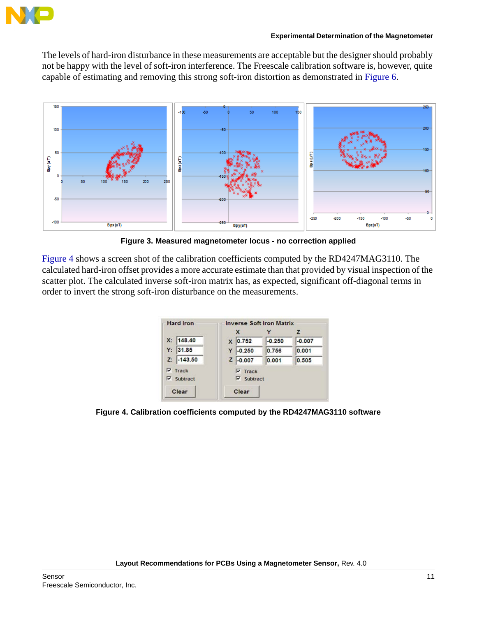

The levels of hard-iron disturbance in these measurements are acceptable but the designer should probably not be happy with the level of soft-iron interference. The Freescale calibration software is, however, quite capable of estimating and removing this strong soft-iron distortion as demonstrated in [Figure 6.](#page-11-0)



**Figure 3. Measured magnetometer locus - no correction applied**

<span id="page-10-0"></span>[Figure 4](#page-10-1) shows a screen shot of the calibration coefficients computed by the RD4247MAG3110. The calculated hard-iron offset provides a more accurate estimate than that provided by visual inspection of the scatter plot. The calculated inverse soft-iron matrix has, as expected, significant off-diagonal terms in order to invert the strong soft-iron disturbance on the measurements.

| <b>Hard Iron</b>  | <b>Inverse Soft Iron Matrix</b> |          |          |  |
|-------------------|---------------------------------|----------|----------|--|
|                   | X                               |          | z        |  |
| 148.40<br>Х:      | 0.752<br>$\mathbf{x}$           | $-0.250$ | $-0.007$ |  |
| 31.85<br>Y:       | $-0.250$<br>Y                   | 0.756    | 0.001    |  |
| $-143.50$<br>Z:   | $Z$ -0.007                      | 0.001    | 0.505    |  |
| $\nabla$ Track    | $\nabla$ Track                  |          |          |  |
| $\nabla$ Subtract | $\nabla$ Subtract               |          |          |  |
| Clear             | Clear                           |          |          |  |

<span id="page-10-1"></span>**Figure 4. Calibration coefficients computed by the RD4247MAG3110 software**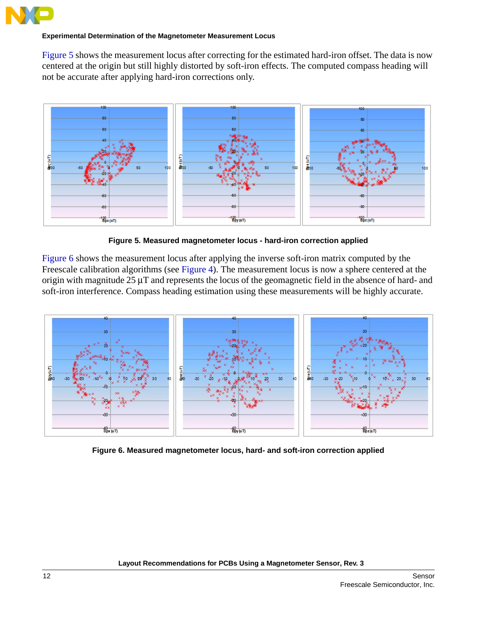

#### **Experimental Determination of the Magnetometer Measurement Locus**

[Figure 5](#page-11-1) shows the measurement locus after correcting for the estimated hard-iron offset. The data is now centered at the origin but still highly distorted by soft-iron effects. The computed compass heading will not be accurate after applying hard-iron corrections only.



**Figure 5. Measured magnetometer locus - hard-iron correction applied**

<span id="page-11-1"></span>[Figure 6](#page-11-0) shows the measurement locus after applying the inverse soft-iron matrix computed by the Freescale calibration algorithms (see [Figure 4](#page-10-1)). The measurement locus is now a sphere centered at the origin with magnitude 25 μT and represents the locus of the geomagnetic field in the absence of hard- and soft-iron interference. Compass heading estimation using these measurements will be highly accurate.



<span id="page-11-0"></span>**Figure 6. Measured magnetometer locus, hard- and soft-iron correction applied**